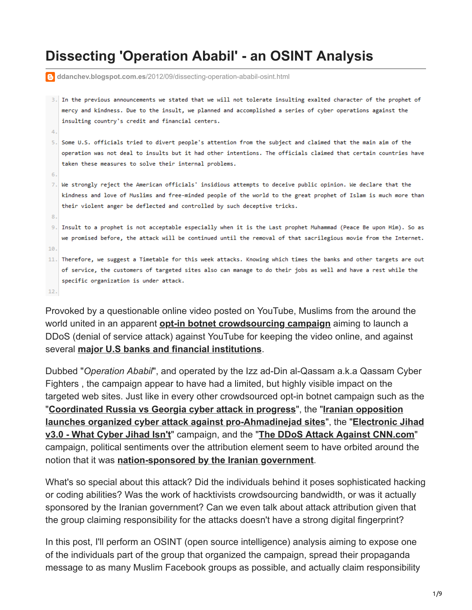# **Dissecting 'Operation Ababil' - an OSINT Analysis**

|     | e ddanchev.blogspot.com.es/2012/09/dissecting-operation-ababil-osint.html                                        |
|-----|------------------------------------------------------------------------------------------------------------------|
|     |                                                                                                                  |
| 3.  | In the previous announcements we stated that we will not tolerate insulting exalted character of the prophet of  |
|     | mercy and kindness. Due to the insult, we planned and accomplished a series of cyber operations against the      |
|     | insulting country's credit and financial centers.                                                                |
| 4.  |                                                                                                                  |
| 5.  | Some U.S. officials tried to divert people's attention from the subject and claimed that the main aim of the     |
|     | operation was not deal to insults but it had other intentions. The officials claimed that certain countries have |
|     | taken these measures to solve their internal problems.                                                           |
| 6.  |                                                                                                                  |
| 7.  | We strongly reject the American officials' insidious attempts to deceive public opinion. We declare that the     |
|     | kindness and love of Muslims and free-minded people of the world to the great prophet of Islam is much more than |
|     | their violent anger be deflected and controlled by such deceptive tricks.                                        |
| 8.  |                                                                                                                  |
| 9.  | Insult to a prophet is not acceptable especially when it is the Last prophet Muhammad (Peace Be upon Him). So as |
|     | we promised before, the attack will be continued until the removal of that sacrilegious movie from the Internet. |
| 10. |                                                                                                                  |
| 11. | Therefore, we suggest a Timetable for this week attacks. Knowing which times the banks and other targets are out |
|     | of service, the customers of targeted sites also can manage to do their jobs as well and have a rest while the   |
|     | specific organization is under attack.                                                                           |
|     |                                                                                                                  |

 $12.$ 

Provoked by a questionable online video posted on YouTube, Muslims from the around the world united in an apparent **[opt-in botnet crowdsourcing campaign](http://www.zdnet.com/blog/security/attack-of-the-opt-in-botnets/6268)** aiming to launch a DDoS (denial of service attack) against YouTube for keeping the video online, and against several **[major U.S banks and financial institutions](http://www.reuters.com/article/2012/09/21/us-iran-cyberattacks-idUSBRE88K12H20120921)**.

Dubbed "*Operation Ababil*", and operated by the Izz ad-Din al-Qassam a.k.a Qassam Cyber Fighters , the campaign appear to have had a limited, but highly visible impact on the targeted web sites. Just like in every other crowdsourced opt-in botnet campaign such as the "**[Coordinated Russia vs Georgia cyber attack in progress](http://www.zdnet.com/blog/security/coordinated-russia-vs-georgia-cyber-attack-in-progress/1670)**", the "**Iranian opposition [launches organized cyber attack against pro-Ahmadinejad sites](http://ddanchev.blogspot.com/2007/11/electronic-jihad-v30-what-cyber-jihad.html)**", the "**Electronic Jihad v3.0 - What Cyber Jihad Isn't**" campaign, and the "**[The DDoS Attack Against CNN.com](http://ddanchev.blogspot.com/2008/04/ddos-attack-against-cnncom.html)**" campaign, political sentiments over the attribution element seem to have orbited around the notion that it was **[nation-sponsored by the Iranian government](http://www.foxbusiness.com/industries/2012/09/24/lieberman-blame-iran-for-cyber-attacks-on-bank-america-chase/)**.

What's so special about this attack? Did the individuals behind it poses sophisticated hacking or coding abilities? Was the work of hacktivists crowdsourcing bandwidth, or was it actually sponsored by the Iranian government? Can we even talk about attack attribution given that the group claiming responsibility for the attacks doesn't have a strong digital fingerprint?

In this post, I'll perform an OSINT (open source intelligence) analysis aiming to expose one of the individuals part of the group that organized the campaign, spread their propaganda message to as many Muslim Facebook groups as possible, and actually claim responsibility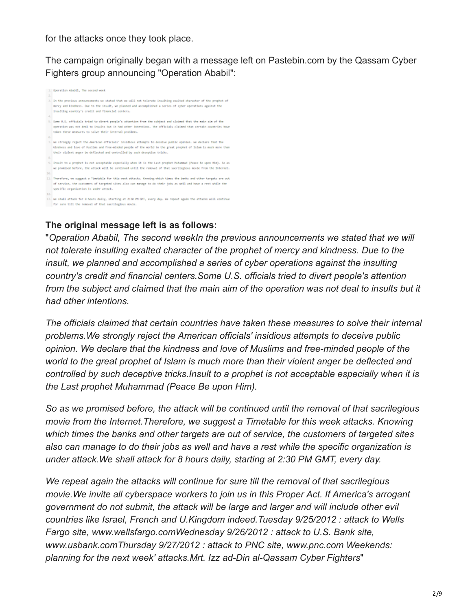for the attacks once they took place.

The campaign originally began with a message left on Pastebin.com by the Qassam Cyber Fighters group announcing "Operation Ababil":

|      | 1. Goeration Ababil, The second week                                                                                 |
|------|----------------------------------------------------------------------------------------------------------------------|
| 2.1  |                                                                                                                      |
| 3.1  | In the previous announcements we stated that we will not tolerate insulting exalted character of the prophet of      |
|      | mercy and kindness. Due to the insult, we planned and accomplished a series of cyber operations against the          |
|      | inselting country's credit and financial centers.                                                                    |
|      |                                                                                                                      |
| A.   |                                                                                                                      |
| 5.   | Some U.S. officials tried to divert people's attention from the subject and claimed that the main aim of the         |
|      | operation was not deal to insults but it had other intentions. The officials claimed that certain countries have     |
|      | taken these measures to solve their internal problems.                                                               |
| и.   |                                                                                                                      |
|      | 7. We strongly reject the American officials' insidious attempts to deceive public opinion, We declare that the      |
|      |                                                                                                                      |
|      | kindness and love of Muslims and free-minded people of the world to the great prophet of Islam is much more than     |
|      | their violent anger be deflected and controlled by such deceptive tricks.                                            |
| 8.   |                                                                                                                      |
| 9.   | Insult to a prophet is not acceptable especially when it is the Last prophet Huhammad (Peace Be upon Him). So as     |
|      | we promised before, the attack will be continued until the removal of that sacrilegious moule from the Internet.     |
|      |                                                                                                                      |
| 10.  |                                                                                                                      |
|      | 11. Therefore, we suggest a Timetable for this week attacks. Knowing which times the banks and other targets are out |
|      | of service, the customers of torgeted sites also can manage to do their jobs as well and have a rest while the       |
|      | specific organization is under attack.                                                                               |
| 13.1 |                                                                                                                      |
|      | 13. We shall attack for 8 hours daily, starting at 2:30 PM GMT, every day. We repeat again the attacks will continue |
|      |                                                                                                                      |
|      | for sure till the removal of that sacrilegious movie.                                                                |

# **The original message left is as follows:**

"*Operation Ababil, The second weekIn the previous announcements we stated that we will not tolerate insulting exalted character of the prophet of mercy and kindness. Due to the insult, we planned and accomplished a series of cyber operations against the insulting country's credit and financial centers.Some U.S. officials tried to divert people's attention from the subject and claimed that the main aim of the operation was not deal to insults but it had other intentions.* 

*The officials claimed that certain countries have taken these measures to solve their internal problems.We strongly reject the American officials' insidious attempts to deceive public opinion. We declare that the kindness and love of Muslims and free-minded people of the world to the great prophet of Islam is much more than their violent anger be deflected and controlled by such deceptive tricks.Insult to a prophet is not acceptable especially when it is the Last prophet Muhammad (Peace Be upon Him).* 

*So as we promised before, the attack will be continued until the removal of that sacrilegious movie from the Internet.Therefore, we suggest a Timetable for this week attacks. Knowing which times the banks and other targets are out of service, the customers of targeted sites also can manage to do their jobs as well and have a rest while the specific organization is under attack.We shall attack for 8 hours daily, starting at 2:30 PM GMT, every day.* 

*We repeat again the attacks will continue for sure till the removal of that sacrilegious movie.We invite all cyberspace workers to join us in this Proper Act. If America's arrogant government do not submit, the attack will be large and larger and will include other evil countries like Israel, French and U.Kingdom indeed.Tuesday 9/25/2012 : attack to Wells Fargo site, www.wellsfargo.comWednesday 9/26/2012 : attack to U.S. Bank site, www.usbank.comThursday 9/27/2012 : attack to PNC site, www.pnc.com Weekends: planning for the next week' attacks.Mrt. Izz ad-Din al-Qassam Cyber Fighters*"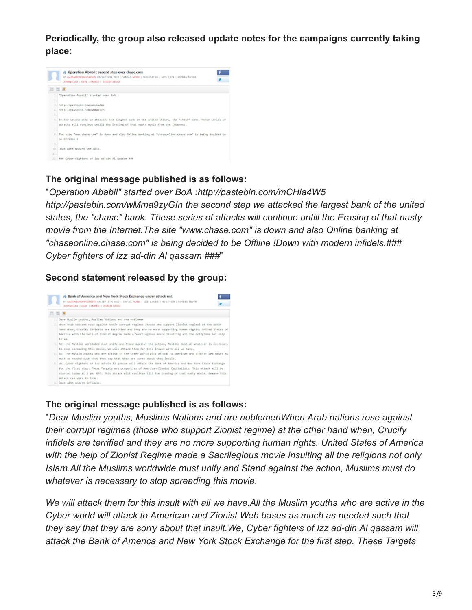**Periodically, the group also released update notes for the campaigns currently taking place:**



## **The original message published is as follows:**

"*Operation Ababil" started over BoA :http://pastebin.com/mCHia4W5 http://pastebin.com/wMma9zyGIn the second step we attacked the largest bank of the united states, the "chase" bank. These series of attacks will continue untill the Erasing of that nasty movie from the Internet.The site "www.chase.com" is down and also Online banking at "chaseonline.chase.com" is being decided to be Offline !Down with modern infidels.### Cyber fighters of Izz ad-din Al qassam ###*"

#### **Second statement released by the group:**



#### **The original message published is as follows:**

"*Dear Muslim youths, Muslims Nations and are noblemenWhen Arab nations rose against their corrupt regimes (those who support Zionist regime) at the other hand when, Crucify infidels are terrified and they are no more supporting human rights. United States of America with the help of Zionist Regime made a Sacrilegious movie insulting all the religions not only Islam.All the Muslims worldwide must unify and Stand against the action, Muslims must do whatever is necessary to stop spreading this movie.* 

*We will attack them for this insult with all we have.All the Muslim youths who are active in the Cyber world will attack to American and Zionist Web bases as much as needed such that they say that they are sorry about that insult.We, Cyber fighters of Izz ad-din Al qassam will attack the Bank of America and New York Stock Exchange for the first step. These Targets*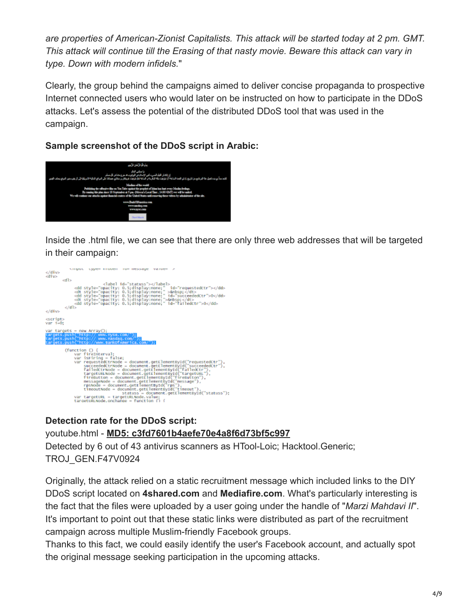*are properties of American-Zionist Capitalists. This attack will be started today at 2 pm. GMT. This attack will continue till the Erasing of that nasty movie. Beware this attack can vary in type. Down with modern infidels.*"

Clearly, the group behind the campaigns aimed to deliver concise propaganda to prospective Internet connected users who would later on be instructed on how to participate in the DDoS attacks. Let's assess the potential of the distributed DDoS tool that was used in the campaign.

## **Sample screenshot of the DDoS script in Arabic:**



Inside the .html file, we can see that there are only three web addresses that will be targeted in their campaign:



## **Detection rate for the DDoS script:**

youtube.html - **[MD5: c3fd7601b4aefe70e4a8f6d73bf5c997](https://www.virustotal.com/file/a3be8deb4ebc8de1d0d19467da606033c8938cf74d1489761fbc9e195d7d1c75/analysis/1348697936/)** Detected by 6 out of 43 antivirus scanners as HTool-Loic; Hacktool.Generic; TROJ\_GEN.F47V0924

Originally, the attack relied on a static recruitment message which included links to the DIY DDoS script located on **4shared.com** and **Mediafire.com**. What's particularly interesting is the fact that the files were uploaded by a user going under the handle of "*Marzi Mahdavi II*". It's important to point out that these static links were distributed as part of the recruitment campaign across multiple Muslim-friendly Facebook groups.

Thanks to this fact, we could easily identify the user's Facebook account, and actually spot the original message seeking participation in the upcoming attacks.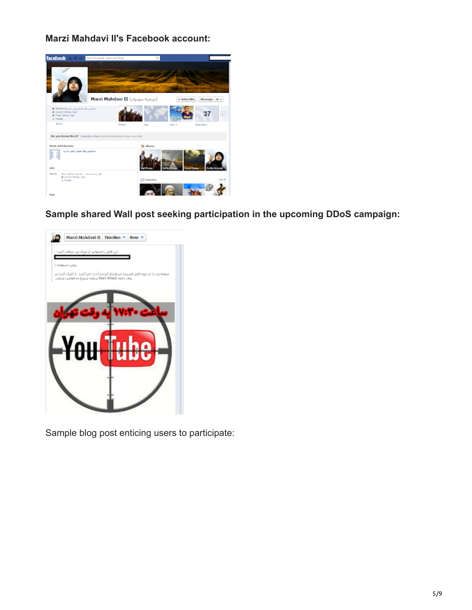**Marzi Mahdavi II's Facebook account:**



**Sample shared Wall post seeking participation in the upcoming DDoS campaign:**



Sample blog post enticing users to participate: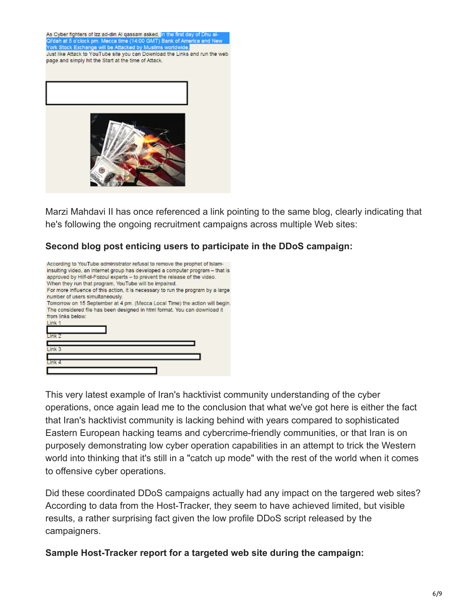



Marzi Mahdavi II has once referenced a link pointing to the same blog, clearly indicating that he's following the ongoing recruitment campaigns across multiple Web sites:

## **Second blog post enticing users to participate in the DDoS campaign:**

| According to YouTube administrator refusal to remove the prophet of Islam-<br>insulting video, an internet group has developed a computer program - that is<br>approved by Hilf-ol-Fozoul experts - to prevent the release of the video.<br>When they run that program. YouTube will be impaired.<br>For more influence of this action, it is necessary to run the program by a large |
|---------------------------------------------------------------------------------------------------------------------------------------------------------------------------------------------------------------------------------------------------------------------------------------------------------------------------------------------------------------------------------------|
| number of users simultaneously.                                                                                                                                                                                                                                                                                                                                                       |
| Tomorrow on 15 September at 4 pm. (Mecca Local Time) the action will begin.                                                                                                                                                                                                                                                                                                           |
| The considered file has been designed in html format. You can download it                                                                                                                                                                                                                                                                                                             |
| from links below:                                                                                                                                                                                                                                                                                                                                                                     |
| Link 1                                                                                                                                                                                                                                                                                                                                                                                |
|                                                                                                                                                                                                                                                                                                                                                                                       |
| Link 2                                                                                                                                                                                                                                                                                                                                                                                |
|                                                                                                                                                                                                                                                                                                                                                                                       |
| Link <sub>3</sub>                                                                                                                                                                                                                                                                                                                                                                     |
|                                                                                                                                                                                                                                                                                                                                                                                       |
| Link 4                                                                                                                                                                                                                                                                                                                                                                                |
|                                                                                                                                                                                                                                                                                                                                                                                       |

This very latest example of Iran's hacktivist community understanding of the cyber operations, once again lead me to the conclusion that what we've got here is either the fact that Iran's hacktivist community is lacking behind with years compared to sophisticated Eastern European hacking teams and cybercrime-friendly communities, or that Iran is on purposely demonstrating low cyber operation capabilities in an attempt to trick the Western world into thinking that it's still in a "catch up mode" with the rest of the world when it comes to offensive cyber operations.

Did these coordinated DDoS campaigns actually had any impact on the targered web sites? According to data from the Host-Tracker, they seem to have achieved limited, but visible results, a rather surprising fact given the low profile DDoS script released by the campaigners.

**Sample Host-Tracker report for a targeted web site during the campaign:**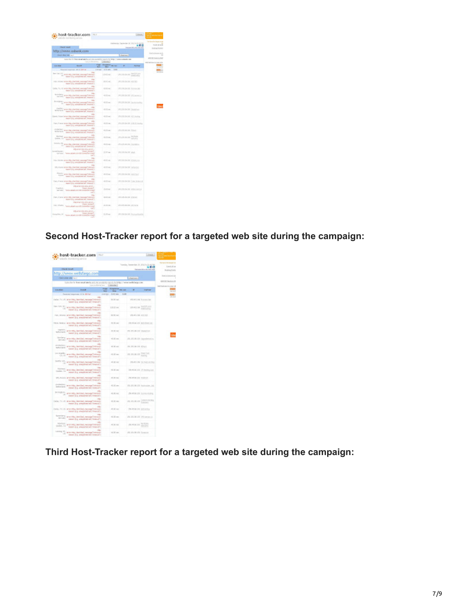| host-tracker.com<br><b>THE P</b><br>the maintenance pervisor                                                                                                      |                       |                                           |                                   | Chicket                           |
|-------------------------------------------------------------------------------------------------------------------------------------------------------------------|-----------------------|-------------------------------------------|-----------------------------------|-----------------------------------|
|                                                                                                                                                                   |                       |                                           | Historical Datester 20, 2021 KrD. |                                   |
| <b>Chart Start</b>                                                                                                                                                |                       |                                           |                                   | ■新世<br>Woman Art L. Att John Ave. |
| http://www.usbank.com                                                                                                                                             |                       |                                           |                                   |                                   |
| <b>SWEEPS ON THE</b>                                                                                                                                              |                       |                                           | (Rekims)                          |                                   |
| have the fir from and darts and the audio for sport for this contemporaries are                                                                                   |                       |                                           |                                   |                                   |
|                                                                                                                                                                   |                       | Libraries.                                |                                   |                                   |
| <b>Limited</b><br><b>Walker</b>                                                                                                                                   | Fax<br><b>Service</b> | <b>Ampleton and the</b><br><b>Service</b> | ٠                                 | <b>Factor</b>                     |
| Faracted Society and All Annual                                                                                                                                   |                       | connect Address date                      |                                   |                                   |
| <b>Delta</b><br>arts 145,294184, lessing Cranady<br>$\overline{\phantom{a}}$<br>SECOND AVAILABLE IN STRATT                                                        |                       | <b>LIMITIME</b>                           | 270, 270-274-310                  | <b>ENVIATE</b>                    |
| $\sim$<br>Tel: Ocara articl-EL/DeSEAL Metage Standed<br>NAME OF A REPORTED HIS PARADO                                                                             |                       | <b>HOOK WE</b>                            | PRESIDENT NOTICE                  |                                   |
| 100<br>DITH, TX, 10 and Hig United Associations<br>Sales (i.g. areasons art, transit !)                                                                           |                       | <b>STATISTICS</b>                         | R EB-24 ME Works NA               |                                   |
| 100<br>American Additional Address of the con-<br>NAME OLD ADDRESS OF STRAKES                                                                                     |                       | ---                                       | <b>PR EXHIBITION THAT SHE</b>     |                                   |
| $\sim$<br>Imaging was Highwall all research there<br>team dup announcement from 415                                                                               |                       | <b>ALCOHOL:</b>                           | 1980 EMI-1984 Staff, Tow          |                                   |
| $\sim$<br><b>Public</b><br>White is the Higgs period and provided the                                                                                             |                       | 410 00                                    | PLEROSLER TWAY                    |                                   |
| <b>Inches</b><br>(and, Patent who Highlientite), revenued<br><b>Selection</b><br>teaching anyonist air, teachers                                                  |                       | 40-Driver                                 | 25.05204.00 HO Holing             |                                   |
| $\sim$<br>Pain, French and Higuilantial Jeropat<br><b>House</b><br>basicials announced wit financing                                                              |                       | 45.00 mm                                  | 270, 230, 234, 245, 345, 317 x    |                                   |
| ing.<br>International West Education Lineways<br>been ing announced wit brand.">                                                                                  |                       | <b>Citizen</b>                            | 276 EXCLUDE 214 Williams          |                                   |
| <b>Let</b><br>Dollar, Ca. 414 (19) plantical research<br><b>House</b><br>mention a several art, someth-                                                           |                       | <b>ALCOHOL:</b>                           | 25 (35.36 ps)                     | Schutz<br>and and state           |
| say.<br>STATISTIC AND ENGINEERING PRODUCT<br><b>STATISTICS</b><br>transition of the best of a longer control                                                      |                       | <b>ALCOHOL:</b>                           | ALCOHOL: Inches                   |                                   |
| Milliannia Librarian person<br><b>West present</b><br><b>CONTRACTOR</b><br><b>Selection of Land Inc.</b><br>Carl Halley<br>man)                                   |                       | <b>SHOW</b>                               | 29, 136, 764, 212, what           |                                   |
| <b>Inc.</b><br>To: Didre and His De Doll, Henge Shines<br>NAMES OF A REPORTED HIS PERSONAL                                                                        |                       |                                           | PR EXHIBITION CONTINUES.          |                                   |
| 100<br>STL Auto with Highland American Internal<br>Secriting announced art, transfer-                                                                             |                       | -                                         | 197 EXHills 242 Indicated         |                                   |
| <b>COLL</b><br><b>Room workbuilt list researchings</b><br>teaching announced art. triangly                                                                        |                       | 45.00 mm                                  | 29.0006.00 Honda                  |                                   |
| $\sim$<br>Forty, II-brize arrow infiguration Education and<br><b>Statement</b><br>feature this is an expected with fariastal to                                   |                       | -                                         | 270, EXS COA 310 Codes Strategic  |                                   |
| <b><i>ITALIANA SENI IEN. JENEL</i></b><br><b>Test Jerel</b><br>Pearitive,<br><b>SAFERING</b><br>Telefonography and many<br><b><i>SANDA BASICARE</i></b><br>$-5.7$ |                       | <b>Publican</b>                           | 20 EBUSI 20 MAIN                  |                                   |
| <b>Side</b><br>FWI, Folio and Hill, method, heliogy/method<br>massiviling, prespected not, deserted?)                                                             |                       | <b>STATISTICS</b>                         | IN LINIS IS THEFT                 |                                   |
| <b>Highway Like Jirk Jerry)</b><br><b>TWI Island</b><br><b>FOR STARTS</b><br><b>Committee forms</b><br>---                                                        |                       | A NY 100                                  | and anti-resident intervalves     |                                   |
| <b>Important Allis of AURIST</b><br><b>Visit Arrest</b><br>KompoNett, UC<br>down specific bonne fels down                                                         |                       | 3.35 mil                                  | 195 EXCISE DE Romando             |                                   |

**Second Host-Tracker report for a targeted web site during the campaign:**

|                                  | host-tracker.com<br><b>Hard</b>                                                                                         |              |                                         |                                | Data                                                                            |
|----------------------------------|-------------------------------------------------------------------------------------------------------------------------|--------------|-----------------------------------------|--------------------------------|---------------------------------------------------------------------------------|
| <b>Chank Noualt</b>              | kels transing smice                                                                                                     |              |                                         |                                | Tuesday, Geography 21, 2042 6:22-42 RA<br>ននាព<br>Final areas Johnson and Anti- |
|                                  | http://www.wellsfargo.com                                                                                               |              |                                         |                                |                                                                                 |
| Classication with Austin         |                                                                                                                         |              |                                         | Abel part 2                    |                                                                                 |
|                                  | Subscribe for front-securitate by and site productly vaccels to helps. Chevre wells began one<br>tuna proditorial here. |              | Libraries:                              |                                |                                                                                 |
| <b>Linuxian</b>                  | <b>Syndra</b>                                                                                                           | <b>Frage</b> | <b>RESPONSE ENCORE</b>                  | <b>Carl Corporation</b>        | <b><i><u>Institute</u></i></b>                                                  |
|                                  | Received engineers (2 Or 30 Fail                                                                                        | <b>Since</b> | <b>Sings</b><br>strictly, OAT-sec. 5.30 |                                |                                                                                 |
|                                  | $\frac{1}{2}$<br>John, Tr. All, and the classical message of them.<br>research is a seasonned and innersal !-           |              | ALC: NO                                 |                                | FOLKLAND In even that                                                           |
| Her Helv, Mr.<br>1,82            | ÷<br>why High David End, American TV Elicion.<br>ready dug pregnited ed; foresalt?                                      |              | Life St we                              | 239.45.2.88                    | PATHING                                                                         |
|                                  | For, ringra and etg. classical message of electro-<br>resort (a.b. are particled and firminal)").                       |              | <b>SELEN SAL</b>                        | (10.234 min.0)                 |                                                                                 |
|                                  | New, Select arter Hip Literatual American Universi-<br>reason due, presented act, forestall?                            |              | 43.50 mm                                |                                | 28-6104.101 Intelligental                                                       |
| <b>CONTRACTOR</b><br>Seturiants. | arrange candidate recognitions on<br>realist (a.g. arentwise) and financially                                           |              | <b>RT-787 1000</b>                      | the the car cost interest con- |                                                                                 |
|                                  | tarders are reputation recognizes                                                                                       |              | $43.50$ mm                              |                                | 24.25.08.521 /ppmbetal.org                                                      |
|                                  | Antiocolo arte ste, destas cessas crisis<br>(sever (kg anagement art) financial).                                       |              | 45.00 mol                               | WE PE OLIVE ISSUE              |                                                                                 |
| juni Amander,                    | CLUD was the planting research between<br>resourcing, presincial auf. Insecutify                                        |              | 41.00 mm                                | PL PL ALSO                     | <b>President</b><br><b>STATISTICS</b>                                           |
| Seattle, VA.<br>1.85             | <b>SPE</b><br>and life, cantibal, hassault renow-<br>resort is a sherwholen forest?)                                    |              | 45 SE VAC                               |                                | PART LSE IN AUCLEING                                                            |
| Ourden, Ca'                      | Harriott, was my clerked record Univers<br>resum that comparison and interests?)                                        |              | 49.00 cm                                |                                | 201-45-04, 224 17-4 entrop man                                                  |
|                                  | office.<br>SP) Roos and MS (William Newsar Wilson)<br>react (i.g. anapictal act, triansf).                              |              | 41.91.92                                | 29-250-351 EXVISI              |                                                                                 |
| Junction & any<br>Ardeniando     | recorded resonance ballioning sites area<br>resourcing presented ed, insecutiv-                                         |              | $0.30 -$                                |                                | 24. 25. 06.123 Homester, 24.                                                    |
| be modified.<br>$\sim$           | en.<br>arty MS, cleribal, heroigit/ renow-<br>resort is a weighted art, transity,                                       |              | 43.00.00                                |                                | 291-25-24 222 212-541-012FS                                                     |
|                                  | Daller, TX.AS: anne-line classiched restorant University.<br>restor in a presented ed. trees of "                       |              | 45.30 mm                                | ALCOHOL: A                     | APRIL 1979 ST<br><b>GASKS</b>                                                   |
|                                  | best, 10.15 are situalistic recognizion.<br>resonal g unepictatied, financity.                                          |              | 49.90 (49.)                             | 29-8-04:03 ERWPG               |                                                                                 |
| Demany                           | Architry are my desired recognitions.<br>resourcity and and motivated?)                                                 |              | 41.00 mm                                | 29.25.00.03 (PO security)      |                                                                                 |
| quebot, Elki                     | Northern any way crement interoget innova-<br>resort is a shearted and financity.                                       |              | 45.30.900                               | 29-604.01 (2019)               |                                                                                 |
| Laway, HL<br><b>UE</b>           | www.my.classical.com/car/14mmm                                                                                          |              | $43.30$ size.                           | Flk. Flk./M.1/30 Kinserver     |                                                                                 |

**Third Host-Tracker report for a targeted web site during the campaign:**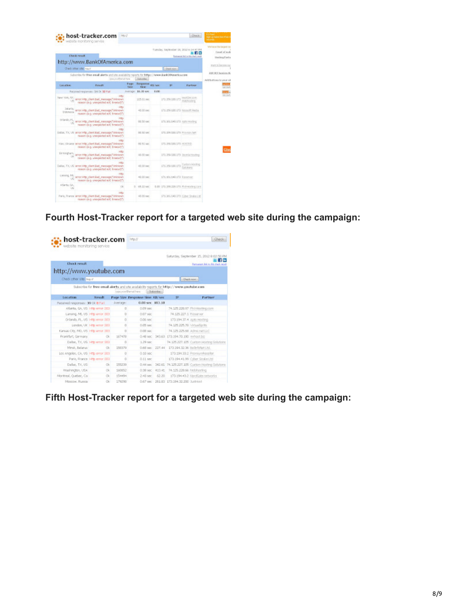|                          | host-tracker.com<br>Mp.2<br>vabolte examitaring service                                                                      |                      |                     |      |                                  | Chuck                                                                       | <b>SUP-LO GAMERINE BYAN</b><br>search.<br>We travel the targed inc |
|--------------------------|------------------------------------------------------------------------------------------------------------------------------|----------------------|---------------------|------|----------------------------------|-----------------------------------------------------------------------------|--------------------------------------------------------------------|
|                          | <b>Check result</b>                                                                                                          |                      |                     |      |                                  | TURNER, SINGMARIN' 18, 2012 6:14 HT FM<br>Parmacort link in this chalk rang |                                                                    |
|                          | http://www.BankOfAmerica.com<br>Check other site: kep.r                                                                      |                      |                     |      | Died, son.                       |                                                                             | <b>PIET N DECORE OU</b>                                            |
|                          | Substition for fines email alerts and site availability reports for http://www.fambOfAnetica.com<br>tonic countries at Auris |                      | Salomba             |      |                                  |                                                                             | <b>ASP-NET heaters B.</b>                                          |
| <b>Location</b>          | <b>Danielt</b>                                                                                                               | Радо<br><b>Rates</b> | Response gallery    |      | $\mathbf{r}$                     | Partner                                                                     | Add buttons to your air                                            |
|                          | Recoved requirement \$4 OK 32 Fall                                                                                           |                      | Anatage: 16.30 kec. | 0.00 |                                  |                                                                             |                                                                    |
|                          | HTD<br>New York, NY, arranting, clientibed, message("Unimount<br>reason in g. unexpected ect, to would !                     |                      | 115.01 sec          |      | 171, 193, 100, 173               | <b>HEITAY JOSS</b><br>that dynalizes                                        |                                                                    |
| incarta,<br>Indonesia    | arror Http: clent.Ead_memage/"Unknown<br>razioni da q. unanparted and, financi/(7)                                           |                      | All 00 pec          |      | 171.159.100.172 Nicesoft Media   |                                                                             |                                                                    |
| orlando, PL <sub>1</sub> | <b>HRD</b><br>error Http: client.kad. message/"Unknown<br>reson is a unexpected sof, knocut/1                                |                      | 98.50 pec.          |      | 171.301.149.179. Asta Hosting    |                                                                             |                                                                    |
|                          | callat, fix, US enterting clear had inexcage("Uningun<br>resson (s.g. unexpected act, timecut)*)                             |                      | 105,500 KWC         |      | 171.208.120.173 Froyage Apr      |                                                                             |                                                                    |
|                          | <b>LITE</b><br>Kirc, Urare, erer Hilly, clevithal, ressage("Usinow)<br>reason (e.g. unexpected act, timecut)*)               |                      | 80.51 MO            |      | 171-293 100-173 HOSTED           |                                                                             |                                                                    |
| Bemingham,               | <b>HTD</b><br>arror (Hig), client, Bad, message, "Unimours<br>ratedn (s.g. unexpected acf. timecut)*)                        |                      | 40.00 sec           |      | 171.259.100.173 Japania Hoyling  |                                                                             |                                                                    |
|                          | Dallas, TX, US arror 19th client had inconscied Universe<br>reason in a unexpected and, timeouth's                           |                      | AE 00 pec           |      | 171.259.100.173 Curricin Holding |                                                                             |                                                                    |
| Lateng, ML               | $+$<br>work4/hopestate ball reliably give rate<br>reason (is g. unerpacted act, timeout)*)                                   |                      | AE 00 IMC           |      | 171.955.149.172 Ricconvert       |                                                                             |                                                                    |
| Atlanta, GA,<br>1.52     | C4                                                                                                                           |                      | D. 48.22 kg.        |      |                                  | 0.00 171 293 228 173 Welegaling Circ                                        |                                                                    |
|                          | <b>HELD</b><br>Paris, Prance arranditto clientified memage/"Unknown<br>razean skig, unexpected and, timeouth?)               |                      | 40.00 mm            |      | 171.965.140.173 Cyber Snake Ltd. |                                                                             |                                                                    |

**Fourth Host-Tracker report for a targeted web site during the campaign:**

| host-tracker.com<br>website monitoring service |                                |           | <b>INDOV</b>        |             |                 |                                                                                           | Check                                                                 |
|------------------------------------------------|--------------------------------|-----------|---------------------|-------------|-----------------|-------------------------------------------------------------------------------------------|-----------------------------------------------------------------------|
| <b>Check result</b>                            |                                |           |                     |             |                 |                                                                                           | Saturday, September 15, 2012 9:02:50 PM<br>Remarked lok to this shad. |
| http://www.youtube.com                         |                                |           |                     |             |                 |                                                                                           |                                                                       |
| Check other site: hap in                       |                                |           |                     |             |                 |                                                                                           | Charlenon.                                                            |
|                                                |                                |           | ope.cordfrenal.hera |             | Subsorbe ::     | Subscribe for from email alerts and site availability reports for https://www.youtube.com |                                                                       |
| Location                                       | <b>County County</b>           |           |                     |             |                 | Page Size Response time KB/sec 32                                                         | <b>Partner</b>                                                        |
| Received responses : 39 Ok 8 Pail              |                                | loverage: |                     |             | 0.88 sec 182.18 |                                                                                           |                                                                       |
| Atlanta, GA, US 1-8tp error (303)              |                                | $\Box$    |                     | 0.09 pec    |                 |                                                                                           | 74.125.220.97 Phil-Hasting.com                                        |
| Lansing, ML US Hittp error (303)               |                                | D.        |                     | 0.07 sec    |                 | 74.129.227.1 Riccarvor                                                                    |                                                                       |
| Orlando, FL, US Hittp error (303)              |                                | $\Omega$  |                     | 0.05 sec    |                 |                                                                                           | 173.194.37.4 Junto Hosting                                            |
|                                                | Landon, UK 1-8tp error (202)   | $\Omega$  |                     | 0.05 psc    |                 | 74.125.225.70 VirtualSplits                                                               |                                                                       |
| Kansas City, MD, US Hillip error (303)         |                                | $\Box$    |                     | D.08 sec    |                 |                                                                                           | 74.125.225.68 Atlng net LLC                                           |
| Frankfurt, Germany                             | OK.                            | 167478    |                     |             |                 | 0.48 sec 343.63 173.194.70.190 inhost.biz                                                 |                                                                       |
|                                                | Dallas, TX, US 1-8tp error 303 | o         |                     | 1.29 per    |                 |                                                                                           | 74, 125, 227, 125 Custom Hosting Solutions                            |
| Mirsk, Belarus                                 | <b>Ck</b>                      | 150374    |                     |             |                 | 0.60 sec 227.44 173.194.32.36 bullyfolget.tel.                                            |                                                                       |
| Los Angeles, CA, US Http error (303)           |                                | Ŭ         |                     |             | $0.10$ soc $-$  |                                                                                           | 173.194.33.2 PromiumReseller                                          |
|                                                | Paris, France Hittp error:303  | O.        |                     | O.tt nec    |                 |                                                                                           | 173.194.41.99 Cyber Sruke Ltd.                                        |
| Dallas, TX, US                                 | Ok.                            | 155239    |                     | $0.44$ sec. |                 |                                                                                           | 342.61 74.125.227.105 Custom Hosting Solutions                        |
| Washington, USA                                | <b>Ck</b>                      | 160852    |                     | 0.38 sec    | 413.41          | 74.125.228.66 Nidohosting                                                                 |                                                                       |
| Nontreal, Ouebec, Ca-                          | Ok.                            | 154494    |                     | $2.43$ sec  | 62.20           |                                                                                           | 173.194.43.2 NordGate networks                                        |
| Mesopw, Russia                                 | Ok.                            | 179290    |                     |             |                 | 0.67 sec 261.93 172.194.32.200 Authiest                                                   |                                                                       |

**Fifth Host-Tracker report for a targeted web site during the campaign:**